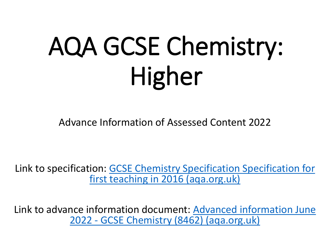# AQA GCSE Chemistry: Higher

Advance Information of Assessed Content 2022

Link to specifica[tion: GCSE Chemistry Specification Specification](https://filestore.aqa.org.uk/resources/chemistry/specifications/AQA-8462-SP-2016.PDF) for first teaching in 2016 (aqa.org.uk)

Link to adva[nce information document: Advanced information June](https://filestore.aqa.org.uk/content/summer-2022/AQA-8462-AI-22.PDF) 2022 - GCSE Chemistry (8462) (aqa.org.uk)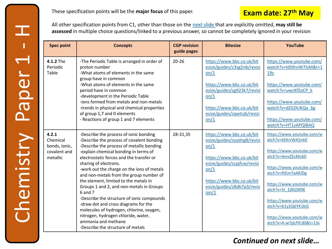Chemistry Paper 1

Chemistry

H

 $\overline{\phantom{0}}$ 

Paper

All other specification points from C1, other than those on the [next slide t](#page-7-0)hat are explicitly omitted, **may still be assessed** in multiple choice questions/linked to a previous answer, so cannot be completely ignored in your revision

| <b>Spec point</b>                                              | <b>Concepts</b>                                                                                                                                                                                                                                                                                                                                                                                                                                                                                                                                                                                                                                                              | <b>CGP revision</b><br>guide pages | <b>Bitesize</b>                                                                                                                                                                                          | YouTube                                                                                                                                                                                                                                                                                                              |
|----------------------------------------------------------------|------------------------------------------------------------------------------------------------------------------------------------------------------------------------------------------------------------------------------------------------------------------------------------------------------------------------------------------------------------------------------------------------------------------------------------------------------------------------------------------------------------------------------------------------------------------------------------------------------------------------------------------------------------------------------|------------------------------------|----------------------------------------------------------------------------------------------------------------------------------------------------------------------------------------------------------|----------------------------------------------------------------------------------------------------------------------------------------------------------------------------------------------------------------------------------------------------------------------------------------------------------------------|
| 4.1.2 The<br>Periodic<br>Table                                 | -The Periodic Table is arranged in order of<br>proton number<br>-What atoms of elements in the same<br>group have in common<br>-What atoms of elements in the same<br>period have in common<br>-development in the Periodic Table<br>-ions formed from metals and non-metals<br>-trends in physical and chemical properties<br>of group 1,7 and 0 elements<br>- Reactions of group 1 and 7 elements                                                                                                                                                                                                                                                                          | $20 - 26$                          | https://www.bbc.co.uk/bit<br>esize/guides/z3sg2nb/revisi<br>on/1<br>https://www.bbc.co.uk/bit<br>esize/guides/zg923k7/revisi<br>on/1<br>https://www.bbc.co.uk/bit<br>esize/guides/zqwtcj6/revisi<br>on/1 | https://www.youtube.com/<br>watch?v=IdS9roW7IzM&t=1<br>19 <sub>s</sub><br>https://www.youtube.com/<br>watch?v=uwzXfZoCP k<br>https://www.youtube.com/<br>watch?v=dZGDUKQa 6g<br>https://www.youtube.com/<br>watch?v=HT1zAPQIBAQ                                                                                      |
| 4.2.1<br>Chemical<br>bonds, ionic,<br>covalent and<br>metallic | -Describe the process of ionic bonding<br>-Describe the process of covalent bonding<br>-Describe the process of metallic bonding<br>-explain chemical bonding in terms of<br>electrostatic forces and the transfer or<br>sharing of electrons.<br>-work out the charge on the ions of metals<br>and non-metals from the group number of<br>the element, limited to the metals in<br>Groups 1 and 2, and non-metals in Groups<br>6 and 7<br>-Describe the structure of ionic compounds<br>-draw dot and cross diagrams for the<br>molecules of hydrogen, chlorine, oxygen,<br>nitrogen, hydrogen chloride, water,<br>ammonia and methane<br>-Describe the structure of metals | 28-31,35                           | https://www.bbc.co.uk/bit<br>esize/guides/zyydng8/revisi<br>on/1<br>https://www.bbc.co.uk/bit<br>esize/guides/zcpjfcw/revisi<br>on/1<br>https://www.bbc.co.uk/bit<br>esize/guides/z8db7p3/revis<br>ion/1 | https://www.youtube.com/w<br>atch?v=6DtrrWA5nkE<br>https://www.youtube.com/w<br>atch?v=lenvZEcMc60<br>https://www.youtube.com/w<br>atch?v=lhEm7aAKIDg<br>https://www.youtube.com/w<br>atch?v=5I 1jRGSR9E<br>https://www.youtube.com/w<br>atch?v=b1y2Q6YX1bQ<br>https://www.youtube.com/w<br>atch?v=A-wTpLPICd0&t=13s |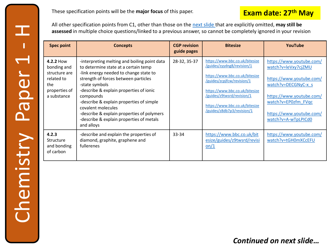All other specification points from C1, other than those on the [next slide t](#page-7-0)hat are explicitly omitted, **may still be assessed** in multiple choice questions/linked to a previous answer, so cannot be completely ignored in your revision

| <b>Spec point</b>                                                                              | <b>Concepts</b>                                                                                                                                                                                                                                                                                                                                                                                                            | <b>CGP</b> revision<br>guide pages | <b>Bitesize</b>                                                                                                                                                                                                                                              | YouTube                                                                                                                                                                                                  |
|------------------------------------------------------------------------------------------------|----------------------------------------------------------------------------------------------------------------------------------------------------------------------------------------------------------------------------------------------------------------------------------------------------------------------------------------------------------------------------------------------------------------------------|------------------------------------|--------------------------------------------------------------------------------------------------------------------------------------------------------------------------------------------------------------------------------------------------------------|----------------------------------------------------------------------------------------------------------------------------------------------------------------------------------------------------------|
| 4.2.2 How<br>bonding and<br>structure are<br>related to<br>the<br>properties of<br>a substance | -interpreting melting and boiling point data<br>to determine state at a certain temp<br>-link energy needed to change state to<br>strength of forces between particles<br>-state symbols<br>-describe & explain properties of ionic<br>compounds<br>-describe & explain properties of simple<br>covalent molecules<br>-describe & explain properties of polymers<br>-describe & explain properties of metals<br>and alloys | 28-32, 35-37                       | https://www.bbc.co.uk/bitesize<br>/guides/zyydng8/revision/1<br>https://www.bbc.co.uk/bitesize<br>/guides/zcpjfcw/revision/1<br>https://www.bbc.co.uk/bitesize<br>/guides/z9twsrd/revision/1<br>https://www.bbc.co.uk/bitesize<br>/guides/z8db7p3/revision/1 | https://www.youtube.com/<br>watch?v=leVxy7cjZMU<br>https://www.youtube.com/<br>watch?v=DECGNyC-x s<br>https://www.youtube.com/<br>watch?v=EP0zfm FVqc<br>https://www.youtube.com/<br>watch?v=A-wTpLPICd0 |
| 4.2.3<br>Structure<br>and bonding<br>of carbon                                                 | -describe and explain the properties of<br>diamond, graphite, graphene and<br>fullerenes                                                                                                                                                                                                                                                                                                                                   | 33-34                              | https://www.bbc.co.uk/bit<br>esize/guides/z9twsrd/revisi<br>on/1                                                                                                                                                                                             | https://www.youtube.com/<br>watch?v=tGH0mXCcEFU                                                                                                                                                          |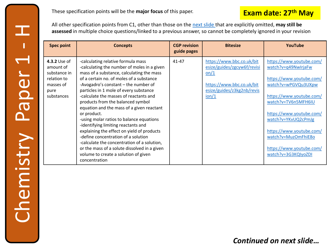**Exam date: 27th May** These specification points will be the **major focus** of this paper.

All other specification points from C1, other than those on the [next slide t](#page-7-0)hat are explicitly omitted, **may still be assessed** in multiple choice questions/linked to a previous answer, so cannot be completely ignored in your revision

| <b>Spec point</b>                                                                           | <b>Concepts</b>                                                                                                                                                                                                                                                                                                                                                                                                                                                                                                                                                                                                                                                                                                                         | <b>CGP revision</b><br>guide pages | <b>Bitesize</b>                                                                                                                      | YouTube                                                                                                                                                                                                                                                                                                        |
|---------------------------------------------------------------------------------------------|-----------------------------------------------------------------------------------------------------------------------------------------------------------------------------------------------------------------------------------------------------------------------------------------------------------------------------------------------------------------------------------------------------------------------------------------------------------------------------------------------------------------------------------------------------------------------------------------------------------------------------------------------------------------------------------------------------------------------------------------|------------------------------------|--------------------------------------------------------------------------------------------------------------------------------------|----------------------------------------------------------------------------------------------------------------------------------------------------------------------------------------------------------------------------------------------------------------------------------------------------------------|
| 4.3.2 Use of<br>amount of<br>substance in<br>relation to<br>masses of<br>pure<br>substances | -calculating relative formula mass<br>-calculating the number of moles in a given<br>mass of a substance, calculating the mass<br>of a certain no. of moles of a substance<br>-Avogadro's constant – the number of<br>particles in 1 mole of every substance<br>-calculate the masses of reactants and<br>products from the balanced symbol<br>equation and the mass of a given reactant<br>or product.<br>-using molar ratios to balance equations<br>-identifying limiting reactants and<br>explaining the effect on yield of products<br>-define concentration of a solution<br>-calculate the concentration of a solution,<br>or the mass of a solute dissolved in a given<br>volume to create a solution of given<br>concentration | $41 - 47$                          | https://www.bbc.co.uk/bit<br>esize/guides/zgcyw6f/revisi<br>on/1<br>https://www.bbc.co.uk/bit<br>esize/guides/z3kg2nb/revis<br>ion/1 | https://www.youtube.com/<br>watch?v=q49NwlrjaFw<br>https://www.youtube.com/<br>watch?v=wPGVQu3UXpw<br>https://www.youtube.com/<br>watch?v=TV6n5MFH6IU<br>https://www.youtube.com/<br>watch?v=YKvUQ2cPmJg<br>https://www.youtube.com/<br>watch?v=MuzOmFhiE8o<br>https://www.youtube.com/<br>watch?v=3G3KQIyoZDI |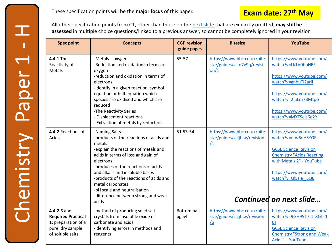All other specification points from C1, other than those on the [next slide t](#page-7-0)hat are explicitly omitted, **may still be assessed** in multiple choice questions/linked to a previous answer, so cannot be completely ignored in your revision

| <b>Spec point</b>                                                                                       | <b>Concepts</b>                                                                                                                                                                                                                                                                                                                                                                        | <b>CGP revision</b><br>guide pages | <b>Bitesize</b>                                                                | YouTube                                                                                                                                                                                                                       |
|---------------------------------------------------------------------------------------------------------|----------------------------------------------------------------------------------------------------------------------------------------------------------------------------------------------------------------------------------------------------------------------------------------------------------------------------------------------------------------------------------------|------------------------------------|--------------------------------------------------------------------------------|-------------------------------------------------------------------------------------------------------------------------------------------------------------------------------------------------------------------------------|
| 4.4.1 The<br>Reactivity of<br>Metals                                                                    | -Metals + oxygen<br>-Reduction and oxidation in terms of<br>oxygen<br>-reduction and oxidation in terms of<br>electrons<br>-identify in a given reaction, symbol<br>equation or half equation which<br>species are oxidised and which are<br>reduced<br>-The Reactivity Series<br>- Displacement reactions<br>- Extraction of metals by reduction                                      | 55-57                              | https://www.bbc.co.uk/bite<br>size/guides/zsm7v9q/revisi<br>on/1               | https://www.youtube.com/<br>watch?v=Lk1V0buHEFs<br>https://www.youtube.com/<br>watch?v=gnbuTl2aril<br>https://www.youtube.com/<br>watch?v=2i5Lm7BMtpo<br>https://www.youtube.com/<br>watch?v=MXTSels6e2Y                      |
| 4.4.2 Reactions of<br>Acids                                                                             | -Naming Salts<br>-products of the reactions of acids and<br>metals<br>-explain the reactions of metals and<br>acids in terms of loss and gain of<br>electrons<br>-produces of the reactions of acids<br>and alkalis and insoluble bases<br>-products of the reactions of acids and<br>metal carbonates<br>-pH scale and neutralisation<br>-difference between strong and weak<br>acids | 51,53-54                           | https://www.bbc.co.uk/bite<br>size/guides/zcjjfcw/revision<br>$\sqrt{1}$       | https://www.youtube.com/<br>watch?v=ofw6oHSYGFI<br><b>GCSE Science Revision</b><br><b>Chemistry "Acids Reacting</b><br>with Metals 2" - YouTube<br>https://www.youtube.com/<br>watch?v=QlSsle jSQ8<br>Continued on next slide |
| 4.4.2.3 and<br><b>Required Practical</b><br>1: preparation of a<br>pure, dry sample<br>of soluble salts | -method of producing solid salt<br>crystals from insoluble oxide or<br>carbonate and acids<br>-identifying errors in methods and<br>reagents                                                                                                                                                                                                                                           | <b>Bottom half</b><br>pg 54        | https://www.bbc.co.uk/bite<br>size/guides/zcjjfcw/revision<br>$\underline{16}$ | https://www.youtube.com/<br>watch?v=9GH95172Js8&t=1<br>6s<br><b>GCSE Science Revision</b><br><b>Chemistry "Strong and Weak</b><br>Acids" - YouTube                                                                            |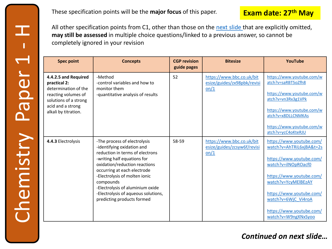### **Exam date: 27th May**

All other specification points from C1, other than those on the [next slide t](#page-7-0)hat are explicitly omitted, **may still be assessed** in multiple choice questions/linked to a previous answer, so cannot be completely ignored in your revision

| <b>Spec point</b>                                                                                                                                         | <b>Concepts</b>                                                                                                                                                                                                                                                                                                                                     | <b>CGP revision</b><br>guide pages | <b>Bitesize</b>                                                  | YouTube                                                                                                                                                                                                                                                          |
|-----------------------------------------------------------------------------------------------------------------------------------------------------------|-----------------------------------------------------------------------------------------------------------------------------------------------------------------------------------------------------------------------------------------------------------------------------------------------------------------------------------------------------|------------------------------------|------------------------------------------------------------------|------------------------------------------------------------------------------------------------------------------------------------------------------------------------------------------------------------------------------------------------------------------|
| 4.4.2.5 and Required<br>practical 2:<br>determination of the<br>reacting volumes of<br>solutions of a strong<br>acid and a strong<br>alkali by titration. | -Method<br>-control variables and how to<br>monitor them<br>-quantitative analysis of results                                                                                                                                                                                                                                                       | 52                                 | https://www.bbc.co.uk/bit<br>esize/guides/zx98pbk/revisi<br>on/1 | https://www.youtube.com/w<br>atch?v=saRBT5oZfh8<br>https://www.youtube.com/w<br>atch?v=vn3Rx3g1VPk<br>https://www.youtube.com/w<br>atch?v=x8DLLCNMKAs<br>https://www.youtube.com/w<br>atch?v=ycC4oKteRJU                                                         |
| 4.4.3 Electrolysis                                                                                                                                        | -The process of electrolysis<br>-identifying oxidation and<br>reduction in terms of electrons<br>-writing half equations for<br>oxidation/reduction reactions<br>occurring at each electrode<br>-Electrolysis of molten ionic<br>compounds<br>-Electrolysis of aluminium oxide<br>-Electrolysis of aqueous solutions,<br>predicting products formed | 58-59                              | https://www.bbc.co.uk/bit<br>esize/guides/zcsyw6f/revisi<br>on/1 | https://www.youtube.com/<br>watch?v=AhTRiL6xjBA&t=2s<br>https://www.youtube.com/<br>watch?v=ilNOpROacf0<br>https://www.youtube.com/<br>watch?v=YcyMElBEzAY<br>https://www.youtube.com/<br>watch?v=6WjC Vi4roA<br>https://www.youtube.com/<br>watch?v=W9ngXNxSyoo |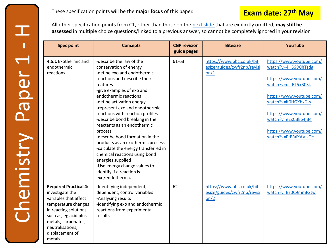All other specification points from C1, other than those on the [next slide t](#page-7-0)hat are explicitly omitted, **may still be assessed** in multiple choice questions/linked to a previous answer, so cannot be completely ignored in your revision

| <b>Spec point</b>                                                                                                                                                                                                         | <b>Concepts</b>                                                                                                                                                                                                                                                                                                                                                                                                                                                                                                                                                                                                          | <b>CGP revision</b><br>guide pages | <b>Bitesize</b>                                                  | YouTube                                                                                                                                                                                                                                                     |
|---------------------------------------------------------------------------------------------------------------------------------------------------------------------------------------------------------------------------|--------------------------------------------------------------------------------------------------------------------------------------------------------------------------------------------------------------------------------------------------------------------------------------------------------------------------------------------------------------------------------------------------------------------------------------------------------------------------------------------------------------------------------------------------------------------------------------------------------------------------|------------------------------------|------------------------------------------------------------------|-------------------------------------------------------------------------------------------------------------------------------------------------------------------------------------------------------------------------------------------------------------|
| 4.5.1 Exothermic and<br>endothermic<br>reactions                                                                                                                                                                          | -describe the law of the<br>conservation of energy<br>-define exo and endothermic<br>reactions and describe their<br>features<br>-give examples of exo and<br>endothermic reactions<br>-define activation energy<br>-represent exo and endothermic<br>reactions with reaction profiles<br>-describe bond breaking in the<br>reactants as an endothermic<br>process<br>-describe bond formation in the<br>products as an exothermic process<br>-calculate the energy transferred in<br>chemical reactions using bond<br>energies supplied<br>-Use energy change values to<br>identify if a reaction is<br>exo/endothermic | 61-63                              | https://www.bbc.co.uk/bit<br>esize/guides/zwfr2nb/revisi<br>on/1 | https://www.youtube.com/<br>watch?v=4HS6D0hTzdg<br>https://www.youtube.com/<br>watch?v=dstRL5xB0Sk<br>https://www.youtube.com/<br>watch?v=it0HGXhxD-s<br>https://www.youtube.com/<br>watch?v=eExCBkp4jB4<br>https://www.youtube.com/<br>watch?v=PdValXAVUOc |
| <b>Required Practical 4:</b><br>investigate the<br>variables that affect<br>temperature changes<br>in reacting solutions<br>such as, eg acid plus<br>metals, carbonates,<br>neutralisations,<br>displacement of<br>metals | -Identifying independent,<br>dependent, control variables<br>-Analysing results<br>-identifying exo and endothermic<br>reactions from experimental<br>results                                                                                                                                                                                                                                                                                                                                                                                                                                                            | 62                                 | https://www.bbc.co.uk/bit<br>esize/guides/zwfr2nb/revisi<br>on/2 | https://www.youtube.com/<br>watch?v=Bz0C9mmF2tw                                                                                                                                                                                                             |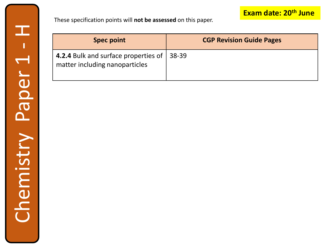<span id="page-7-0"></span>These specification points will **not be assessed** on this paper.

| <b>Spec point</b>                                                              | <b>CGP Revision Guide Pages</b> |
|--------------------------------------------------------------------------------|---------------------------------|
| 4.2.4 Bulk and surface properties of   38-39<br>matter including nanoparticles |                                 |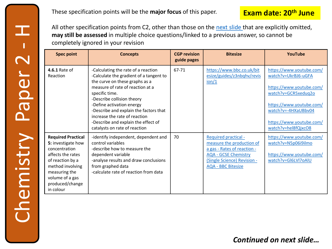### **Exam date: 20th June**

All other specification points from C2, other than those on the [next slide t](#page-13-0)hat are explicitly omitted, **may still be assessed** in multiple choice questions/linked to a previous answer, so cannot be completely ignored in your revision

| <b>Spec point</b>                                                                                                                                                                                 | <b>Concepts</b>                                                                                                                                                                                                                                                                                                                                                                      | <b>CGP</b> revision<br>guide pages | <b>Bitesize</b>                                                                                                                                                                    | YouTube                                                                                                                                                                                                  |
|---------------------------------------------------------------------------------------------------------------------------------------------------------------------------------------------------|--------------------------------------------------------------------------------------------------------------------------------------------------------------------------------------------------------------------------------------------------------------------------------------------------------------------------------------------------------------------------------------|------------------------------------|------------------------------------------------------------------------------------------------------------------------------------------------------------------------------------|----------------------------------------------------------------------------------------------------------------------------------------------------------------------------------------------------------|
| 4.6.1 Rate of<br>Reaction                                                                                                                                                                         | -Calculating the rate of a reaction<br>-Calculate the gradient of a tangent to<br>the curve on these graphs as a<br>measure of rate of reaction at a<br>specific time.<br>-Describe collision theory<br>-Define activation energy<br>-Describe and explain the factors that<br>increase the rate of reaction<br>-Describe and explain the effect of<br>catalysts on rate of reaction | 67-71                              | https://www.bbc.co.uk/bit<br>esize/guides/z3nbqhv/revis<br>ion/1                                                                                                                   | https://www.youtube.com/<br>watch?v=UkrBJ6-uGFA<br>https://www.youtube.com/<br>watch?v=GCR5xeduq2o<br>https://www.youtube.com/<br>watch?v=-4HXaUBbv04<br>https://www.youtube.com/<br>watch?v=hel8fQjxcO8 |
| <b>Required Practical</b><br>5: investigate how<br>concentration<br>affects the rates<br>of reaction by a<br>method involving<br>measuring the<br>volume of a gas<br>produced/change<br>in colour | -identify independent, dependent and<br>control variables<br>-describe how to measure the<br>dependent variable<br>-analyse results and draw conclusions<br>from graphed data<br>-calculate rate of reaction from data                                                                                                                                                               | 70                                 | <b>Required practical -</b><br>measure the production of<br>a gas - Rates of reaction -<br><b>AQA - GCSE Chemistry</b><br>(Single Science) Revision -<br><b>AQA - BBC Bitesize</b> | https://www.youtube.com/<br>watch?v=N5p06i9ilmo<br>https://www.youtube.com/<br>watch?v=GI6LVI7oAIU                                                                                                       |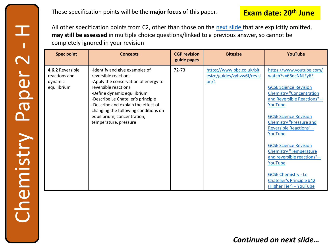**Exam date: 20<sup>th</sup> June** These specification points will be the **major focus** of this paper. **June** 

All other specification points from C2, other than those on the [next slide t](#page-13-0)hat are explicitly omitted, **may still be assessed** in multiple choice questions/linked to a previous answer, so cannot be completely ignored in your revision

| <b>Spec point</b>                                           | <b>Concepts</b>                                                                                                                                                                                                                                                                                                                    | <b>CGP revision</b><br>guide pages | <b>Bitesize</b>                                                  | YouTube                                                                                                                                                                                                                                                                                                                                                                                                                                                                             |
|-------------------------------------------------------------|------------------------------------------------------------------------------------------------------------------------------------------------------------------------------------------------------------------------------------------------------------------------------------------------------------------------------------|------------------------------------|------------------------------------------------------------------|-------------------------------------------------------------------------------------------------------------------------------------------------------------------------------------------------------------------------------------------------------------------------------------------------------------------------------------------------------------------------------------------------------------------------------------------------------------------------------------|
| 4.6.2 Reversible<br>reactions and<br>dynamic<br>equilibrium | -Identify and give examples of<br>reversible reactions<br>-Apply the conservation of energy to<br>reversible reactions<br>-Define dynamic equilibrium<br>-Describe Le Chatelier's principle<br>-Describe and explain the effect of<br>changing the following conditions on<br>equilibrium; concentration,<br>temperature, pressure | $72 - 73$                          | https://www.bbc.co.uk/bit<br>esize/guides/zyhvw6f/revisi<br>on/1 | https://www.youtube.com/<br>watch?v=66qcNNJFy6E<br><b>GCSE Science Revision</b><br><b>Chemistry "Concentration</b><br>and Reversible Reactions" -<br>YouTube<br><b>GCSE Science Revision</b><br><b>Chemistry "Pressure and</b><br><b>Reversible Reactions" -</b><br>YouTube<br><b>GCSE Science Revision</b><br><b>Chemistry "Temperature</b><br>and reversible reactions" -<br>YouTube<br><b>GCSE Chemistry - Le</b><br><b>Chatelier's Principle #42</b><br>(Higher Tier) - YouTube |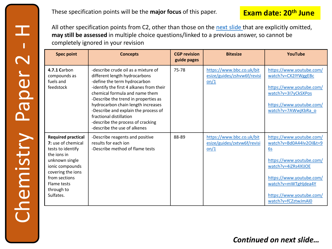**Exam date: 20<sup>th</sup> June** These specification points will be the **major focus** of this paper. **June** 

All other specification points from C2, other than those on the [next slide t](#page-13-0)hat are explicitly omitted, **may still be assessed** in multiple choice questions/linked to a previous answer, so cannot be completely ignored in your revision

| <b>Spec point</b>                                                                                                                                                                                        | <b>Concepts</b>                                                                                                                                                                                                                                                                                                                                                                                          | <b>CGP revision</b><br>guide pages | <b>Bitesize</b>                                                  | YouTube                                                                                                                                                                                                            |
|----------------------------------------------------------------------------------------------------------------------------------------------------------------------------------------------------------|----------------------------------------------------------------------------------------------------------------------------------------------------------------------------------------------------------------------------------------------------------------------------------------------------------------------------------------------------------------------------------------------------------|------------------------------------|------------------------------------------------------------------|--------------------------------------------------------------------------------------------------------------------------------------------------------------------------------------------------------------------|
| 4.7.1 Carbon<br>compounds as<br>fuels and<br>feedstock                                                                                                                                                   | -describe crude oil as a mixture of<br>different length hydrocarbons<br>-define the term hydrocarbon<br>-identify the first 4 alkanes from their<br>chemical formula and name them<br>-Describe the trend in properties as<br>hydrocarbon chain length increases<br>-Describe and explain the process of<br>fractional distillation<br>-describe the process of cracking<br>-describe the use of alkenes | 75-78                              | https://www.bbc.co.uk/bit<br>esize/guides/zshvw6f/revisi<br>on/1 | https://www.youtube.com/<br>watch?v=CX2IYWggEBc<br>https://www.youtube.com/<br>watch?v=3I7yCkSXPos<br>https://www.youtube.com/<br>watch?v=7AWwjKbRa o                                                              |
| <b>Required practical</b><br>7: use of chemical<br>tests to identify<br>the jons in<br>unknown single<br>ionic compounds<br>covering the ions<br>from sections<br>Flame tests<br>through to<br>Sulfates. | -Describe reagents and positive<br>results for each ion<br>-Describe method of flame tests                                                                                                                                                                                                                                                                                                               | 88-89                              | https://www.bbc.co.uk/bit<br>esize/guides/zxtvw6f/revisi<br>on/1 | https://www.youtube.com/<br>watch?v=Bd0A44Iv2OI&t=9<br>6s<br>https://www.youtube.com/<br>watch?v=4iZRs4XIJOE<br>https://www.youtube.com/<br>watch?v=mWTgHjdea4Y<br>https://www.youtube.com/<br>watch?v=fCZztwJmAl0 |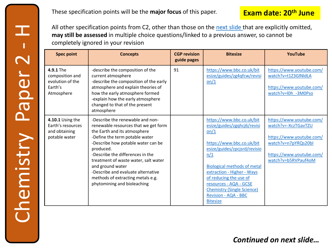### **Exam date: 20th June**

All other specification points from C2, other than those on the [next slide t](#page-13-0)hat are explicitly omitted, **may still be assessed** in multiple choice questions/linked to a previous answer, so cannot be completely ignored in your revision

| <b>Spec point</b>                                                         | <b>Concepts</b>                                                                                                                                                                                                                                                                                                                                                                                         | <b>CGP</b> revision<br>guide pages | <b>Bitesize</b>                                                                                                                                                                                                                                                                                                                                     | YouTube                                                                                                                                               |
|---------------------------------------------------------------------------|---------------------------------------------------------------------------------------------------------------------------------------------------------------------------------------------------------------------------------------------------------------------------------------------------------------------------------------------------------------------------------------------------------|------------------------------------|-----------------------------------------------------------------------------------------------------------------------------------------------------------------------------------------------------------------------------------------------------------------------------------------------------------------------------------------------------|-------------------------------------------------------------------------------------------------------------------------------------------------------|
| 4.9.1 The<br>composition and<br>evolution of the<br>Earth's<br>Atmosphere | -describe the composition of the<br>current atmosphere<br>-describe the composition of the early<br>atmosphere and explain theories of<br>how the early atmosphere formed<br>-explain how the early atmosphere<br>changed to that of the present<br>atmosphere                                                                                                                                          | 91                                 | https://www.bbc.co.uk/bit<br>esize/guides/zg4qfcw/revisi<br>on/1                                                                                                                                                                                                                                                                                    | https://www.youtube.com/<br>watch?v=t1Z3GlNldLA<br>https://www.youtube.com/<br>watch?v=l0h -3M0Pso                                                    |
| 4.10.1 Using the<br>Earth's resources<br>and obtaining<br>potable water   | -Describe the renewable and non-<br>renewable resources that we get form<br>the Earth and its atmosphere<br>-Define the term potable water<br>-Describe how potable water can be<br>produced.<br>-Describe the differences in the<br>treatment of waste water, salt water<br>and ground water<br>-Describe and evaluate alternative<br>methods of extracting metals e.g.<br>phytomining and bioleaching |                                    | https://www.bbc.co.uk/bit<br>esize/guides/zgqhcj6/revisi<br>on/1<br>https://www.bbc.co.uk/bit<br>esize/guides/zpcjsrd/revisio<br>n/1<br><b>Biological methods of metal</b><br>extraction - Higher - Ways<br>of reducing the use of<br>resources - AQA - GCSE<br><b>Chemistry (Single Science)</b><br><b>Revision - AQA - BBC</b><br><b>Bitesize</b> | https://www.youtube.com/<br>watch?v=-XczTGavTZU<br>https://www.youtube.com/<br>watch?v=n7pYRQs20bl<br>https://www.youtube.com/<br>watch?v=b5RVPauf4oM |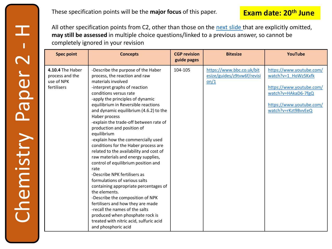All other specification points from C2, other than those on the [next slide t](#page-13-0)hat are explicitly omitted, **may still be assessed** in multiple choice questions/linked to a previous answer, so cannot be completely ignored in your revision

| <b>Spec point</b>                                                | <b>Concepts</b>                                                                                                                                                                                                                                                                                                                                                                                                                                                                                                                                                                                                                                                                                                                                                                                                                                                                                                                            | <b>CGP revision</b><br>guide pages | <b>Bitesize</b>                                                  | <b>YouTube</b>                                                                                                                                        |
|------------------------------------------------------------------|--------------------------------------------------------------------------------------------------------------------------------------------------------------------------------------------------------------------------------------------------------------------------------------------------------------------------------------------------------------------------------------------------------------------------------------------------------------------------------------------------------------------------------------------------------------------------------------------------------------------------------------------------------------------------------------------------------------------------------------------------------------------------------------------------------------------------------------------------------------------------------------------------------------------------------------------|------------------------------------|------------------------------------------------------------------|-------------------------------------------------------------------------------------------------------------------------------------------------------|
| 4.10.4 The Haber<br>process and the<br>use of NPK<br>fertilisers | -Describe the purpose of the Haber<br>process, the reaction and raw<br>materials involved<br>-interpret graphs of reaction<br>conditions versus rate<br>-apply the principles of dynamic<br>equilibrium in Reversible reactions<br>and dynamic equilibrium (4.6.2) to the<br>Haber process<br>-explain the trade-off between rate of<br>production and position of<br>equilibrium<br>-explain how the commercially used<br>conditions for the Haber process are<br>related to the availability and cost of<br>raw materials and energy supplies,<br>control of equilibrium position and<br>rate<br>-Describe NPK fertilisers as<br>formulations of various salts<br>containing appropriate percentages of<br>the elements.<br>-Describe the composition of NPK<br>fertilisers and how they are made<br>-recall the names of the salts<br>produced when phosphate rock is<br>treated with nitric acid, sulfuric acid<br>and phosphoric acid | 104-105                            | https://www.bbc.co.uk/bit<br>esize/guides/z9tvw6f/revisi<br>on/1 | https://www.youtube.com/<br>watch?v=1 HoWz5Kxfk<br>https://www.youtube.com/<br>watch?v=HAkaD6-7fgQ<br>https://www.youtube.com/<br>watch?v=rKzt9BvvEeQ |